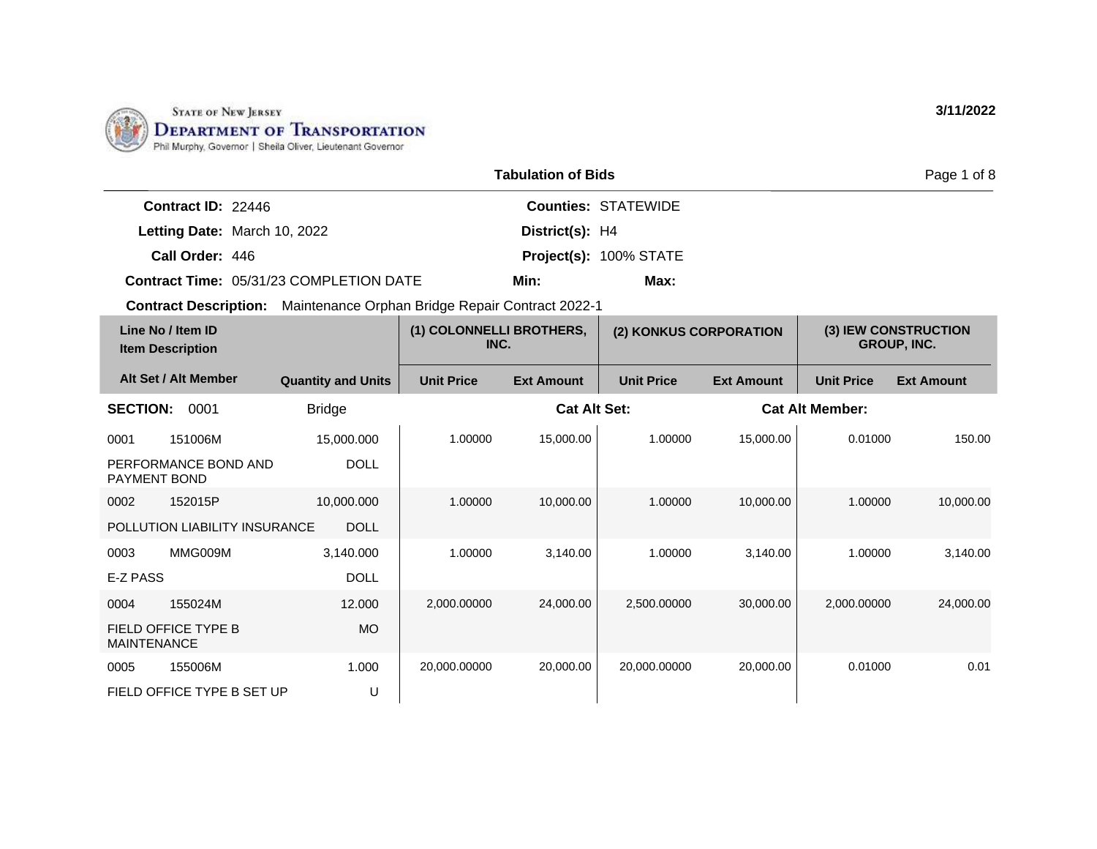

|                                                                               | <b>Tabulation of Bids</b> |                                                                                                                                                                                                                               | Page 1 of 8             |  |
|-------------------------------------------------------------------------------|---------------------------|-------------------------------------------------------------------------------------------------------------------------------------------------------------------------------------------------------------------------------|-------------------------|--|
| <b>Contract ID: 22446</b>                                                     |                           | <b>Counties: STATEWIDE</b>                                                                                                                                                                                                    |                         |  |
| Letting Date: March 10, 2022                                                  | District(s): H4           |                                                                                                                                                                                                                               |                         |  |
| Call Order: 446                                                               |                           | Project(s): 100% STATE                                                                                                                                                                                                        |                         |  |
| <b>Contract Time: 05/31/23 COMPLETION DATE</b>                                | Min:                      | Max:                                                                                                                                                                                                                          |                         |  |
| <b>Contract Description:</b> Maintenance Orphan Bridge Repair Contract 2022-1 |                           |                                                                                                                                                                                                                               |                         |  |
| $1.322$ Maillians ID                                                          | $(4)$ COLONING LIBRATUERS | $(0)$ $(0)$ $(0)$ $(1)$ $(0)$ $(0)$ $(0)$ $(0)$ $(0)$ $(0)$ $(0)$ $(0)$ $(0)$ $(0)$ $(0)$ $(0)$ $(0)$ $(0)$ $(0)$ $(0)$ $(0)$ $(0)$ $(0)$ $(0)$ $(0)$ $(0)$ $(0)$ $(0)$ $(0)$ $(0)$ $(0)$ $(0)$ $(0)$ $(0)$ $(0)$ $(0)$ $(0)$ | $(2)$ IFIN CONCTRUCTION |  |

| Line No / Item ID<br><b>Item Description</b> |                                              |                   | (1) COLONNELLI BROTHERS,<br>(2) KONKUS CORPORATION<br>INC. |                   |                   | (3) IEW CONSTRUCTION<br><b>GROUP, INC.</b> |                   |
|----------------------------------------------|----------------------------------------------|-------------------|------------------------------------------------------------|-------------------|-------------------|--------------------------------------------|-------------------|
| Alt Set / Alt Member                         | <b>Quantity and Units</b>                    | <b>Unit Price</b> | <b>Ext Amount</b>                                          | <b>Unit Price</b> | <b>Ext Amount</b> | <b>Unit Price</b>                          | <b>Ext Amount</b> |
| <b>SECTION:</b><br>0001                      | <b>Bridge</b>                                |                   | <b>Cat Alt Set:</b>                                        |                   |                   | <b>Cat Alt Member:</b>                     |                   |
| 151006M<br>0001                              | 15,000.000                                   | 1.00000           | 15,000.00                                                  | 1.00000           | 15,000.00         | 0.01000                                    | 150.00            |
| PERFORMANCE BOND AND<br><b>PAYMENT BOND</b>  | <b>DOLL</b>                                  |                   |                                                            |                   |                   |                                            |                   |
| 152015P<br>0002                              | 10,000.000                                   | 1.00000           | 10,000.00                                                  | 1.00000           | 10,000.00         | 1.00000                                    | 10,000.00         |
|                                              | POLLUTION LIABILITY INSURANCE<br><b>DOLL</b> |                   |                                                            |                   |                   |                                            |                   |
| MMG009M<br>0003                              | 3,140.000                                    | 1.00000           | 3,140.00                                                   | 1.00000           | 3,140.00          | 1.00000                                    | 3,140.00          |
| E-Z PASS                                     | <b>DOLL</b>                                  |                   |                                                            |                   |                   |                                            |                   |
| 155024M<br>0004                              | 12.000                                       | 2,000.00000       | 24,000.00                                                  | 2,500.00000       | 30,000.00         | 2,000.00000                                | 24,000.00         |
| FIELD OFFICE TYPE B<br><b>MAINTENANCE</b>    | MO.                                          |                   |                                                            |                   |                   |                                            |                   |
| 155006M<br>0005                              | 1.000                                        | 20,000.00000      | 20,000.00                                                  | 20,000.00000      | 20,000.00         | 0.01000                                    | 0.01              |
| FIELD OFFICE TYPE B SET UP                   | U                                            |                   |                                                            |                   |                   |                                            |                   |

**3/11/2022**

of  $8$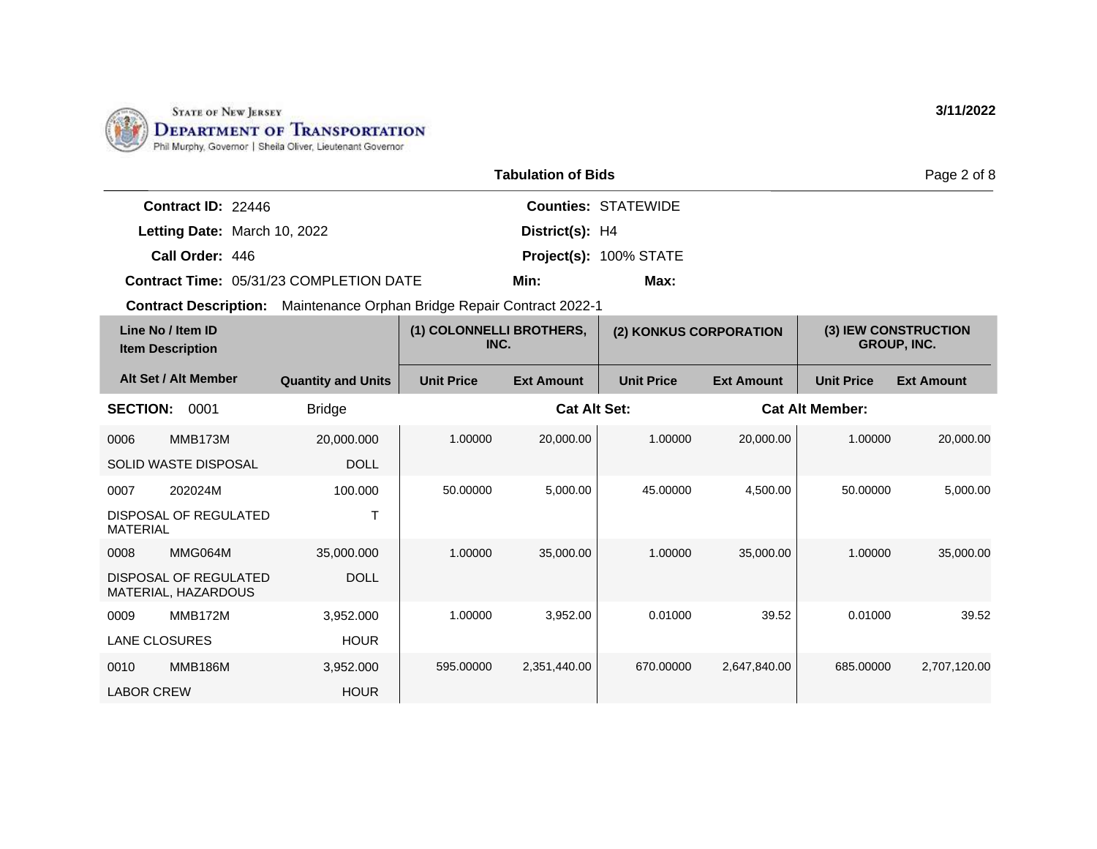

| <b>Tabulation of Bids</b>                    |                                                  |                                  |                     |                        |                   | Page 2 of 8            |                                            |
|----------------------------------------------|--------------------------------------------------|----------------------------------|---------------------|------------------------|-------------------|------------------------|--------------------------------------------|
| Contract ID: 22446                           |                                                  | <b>Counties: STATEWIDE</b>       |                     |                        |                   |                        |                                            |
|                                              | Letting Date: March 10, 2022                     | District(s): H4                  |                     |                        |                   |                        |                                            |
| Call Order: 446                              |                                                  | Project(s): 100% STATE           |                     |                        |                   |                        |                                            |
|                                              | <b>Contract Time: 05/31/23 COMPLETION DATE</b>   |                                  | Min:                | Max:                   |                   |                        |                                            |
| <b>Contract Description:</b>                 | Maintenance Orphan Bridge Repair Contract 2022-1 |                                  |                     |                        |                   |                        |                                            |
| Line No / Item ID<br><b>Item Description</b> |                                                  | (1) COLONNELLI BROTHERS,<br>INC. |                     | (2) KONKUS CORPORATION |                   |                        | (3) IEW CONSTRUCTION<br><b>GROUP, INC.</b> |
| Alt Set / Alt Member                         | <b>Quantity and Units</b>                        | <b>Unit Price</b>                | <b>Ext Amount</b>   | <b>Unit Price</b>      | <b>Ext Amount</b> | <b>Unit Price</b>      | <b>Ext Amount</b>                          |
| <b>SECTION:</b><br>0001                      | <b>Bridge</b>                                    |                                  | <b>Cat Alt Set:</b> |                        |                   | <b>Cat Alt Member:</b> |                                            |
|                                              |                                                  |                                  |                     |                        |                   |                        |                                            |

| Line No / Item ID<br><b>Item Description</b>        |                |                           | (1) COLONNELLI BROTHERS,<br>(2) KONKUS CORPORATION<br>INC. |                     |                   | (3) IEW CONSTRUCTION<br><b>GROUP, INC.</b> |                        |                   |
|-----------------------------------------------------|----------------|---------------------------|------------------------------------------------------------|---------------------|-------------------|--------------------------------------------|------------------------|-------------------|
| Alt Set / Alt Member                                |                | <b>Quantity and Units</b> | <b>Unit Price</b>                                          | <b>Ext Amount</b>   | <b>Unit Price</b> | <b>Ext Amount</b>                          | <b>Unit Price</b>      | <b>Ext Amount</b> |
| <b>SECTION:</b>                                     | 0001           | <b>Bridge</b>             |                                                            | <b>Cat Alt Set:</b> |                   |                                            | <b>Cat Alt Member:</b> |                   |
| 0006                                                | MMB173M        | 20,000.000                | 1.00000                                                    | 20,000.00           | 1.00000           | 20,000.00                                  | 1.00000                | 20,000.00         |
| SOLID WASTE DISPOSAL                                |                | <b>DOLL</b>               |                                                            |                     |                   |                                            |                        |                   |
| 0007                                                | 202024M        | 100.000                   | 50.00000                                                   | 5,000.00            | 45.00000          | 4,500.00                                   | 50.00000               | 5,000.00          |
| DISPOSAL OF REGULATED<br><b>MATERIAL</b>            |                |                           |                                                            |                     |                   |                                            |                        |                   |
| 0008                                                | MMG064M        | 35,000.000                | 1.00000                                                    | 35,000.00           | 1.00000           | 35,000.00                                  | 1.00000                | 35,000.00         |
| <b>DISPOSAL OF REGULATED</b><br>MATERIAL, HAZARDOUS |                | <b>DOLL</b>               |                                                            |                     |                   |                                            |                        |                   |
| 0009                                                | MMB172M        | 3,952.000                 | 1.00000                                                    | 3,952.00            | 0.01000           | 39.52                                      | 0.01000                | 39.52             |
| <b>LANE CLOSURES</b>                                |                | <b>HOUR</b>               |                                                            |                     |                   |                                            |                        |                   |
| 0010                                                | <b>MMB186M</b> | 3,952.000                 | 595.00000                                                  | 2,351,440.00        | 670.00000         | 2,647,840.00                               | 685.00000              | 2,707,120.00      |
| <b>LABOR CREW</b>                                   |                | <b>HOUR</b>               |                                                            |                     |                   |                                            |                        |                   |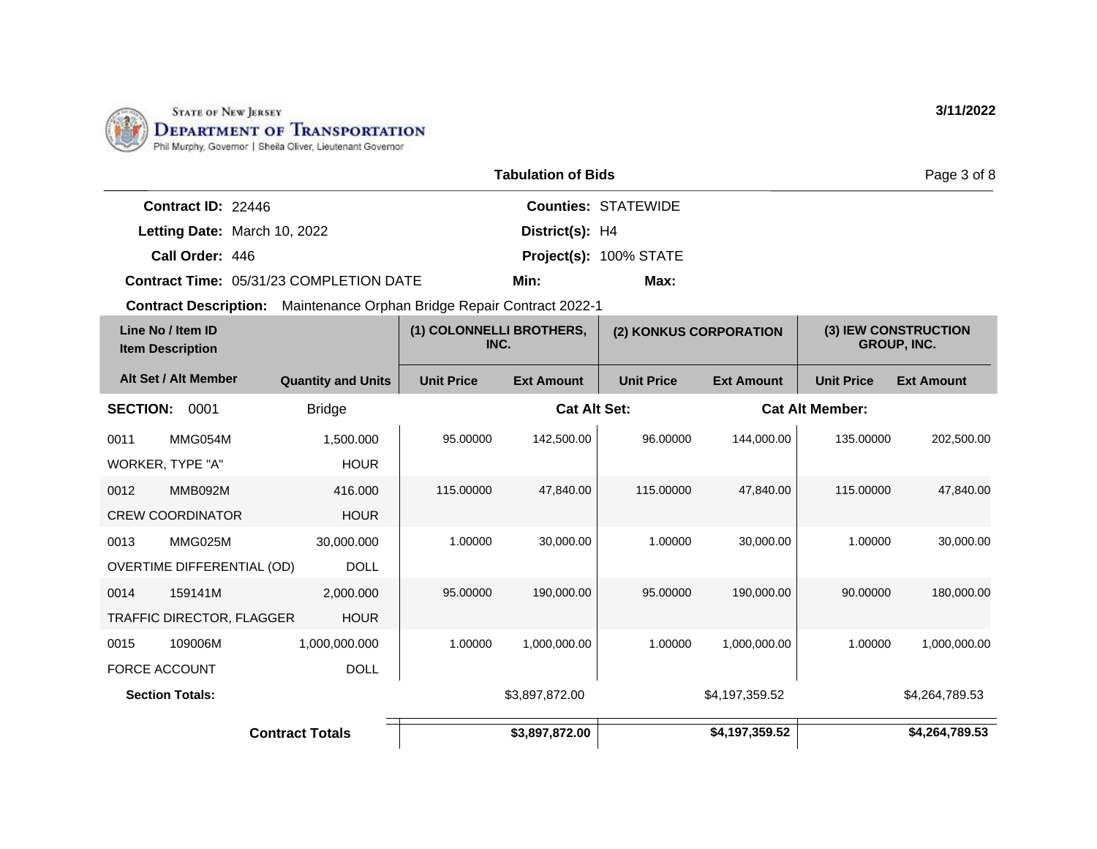

DOLL

1,000,000.000

0015 109006M FORCE ACCOUNT

| <b>Tabulation of Bids</b>                      |                                                  |                                  |                     |                            |                   |                        | Page 3 of 8                                |  |
|------------------------------------------------|--------------------------------------------------|----------------------------------|---------------------|----------------------------|-------------------|------------------------|--------------------------------------------|--|
| Contract ID: 22446                             |                                                  |                                  |                     | <b>Counties: STATEWIDE</b> |                   |                        |                                            |  |
| Letting Date: March 10, 2022                   |                                                  |                                  | District(s): H4     |                            |                   |                        |                                            |  |
| Call Order: 446                                |                                                  |                                  |                     | Project(s): 100% STATE     |                   |                        |                                            |  |
| <b>Contract Time: 05/31/23 COMPLETION DATE</b> |                                                  |                                  | Min:                | Max:                       |                   |                        |                                            |  |
| <b>Contract Description:</b>                   | Maintenance Orphan Bridge Repair Contract 2022-1 |                                  |                     |                            |                   |                        |                                            |  |
| Line No / Item ID<br><b>Item Description</b>   |                                                  | (1) COLONNELLI BROTHERS,<br>INC. |                     | (2) KONKUS CORPORATION     |                   |                        | (3) IEW CONSTRUCTION<br><b>GROUP, INC.</b> |  |
| Alt Set / Alt Member                           | <b>Quantity and Units</b>                        | <b>Unit Price</b>                | <b>Ext Amount</b>   | <b>Unit Price</b>          | <b>Ext Amount</b> | <b>Unit Price</b>      | <b>Ext Amount</b>                          |  |
| <b>SECTION:</b><br>0001                        | <b>Bridge</b>                                    |                                  | <b>Cat Alt Set:</b> |                            |                   | <b>Cat Alt Member:</b> |                                            |  |
| MMG054M<br>0011                                | 1,500.000                                        | 95.00000                         | 142,500.00          | 96.00000                   | 144.000.00        | 135.00000              | 202,500.00                                 |  |
| WORKER, TYPE "A"                               | <b>HOUR</b>                                      |                                  |                     |                            |                   |                        |                                            |  |
| <b>MMB092M</b><br>0012                         | 416,000                                          | 115.00000                        | 47,840.00           | 115.00000                  | 47.840.00         | 115.00000              | 47,840.00                                  |  |
| <b>CREW COORDINATOR</b>                        | <b>HOUR</b>                                      |                                  |                     |                            |                   |                        |                                            |  |
| 0013<br>MMG025M                                | 30,000.000                                       | 1.00000                          | 30,000.00           | 1.00000                    | 30,000.00         | 1.00000                | 30,000.00                                  |  |
| <b>OVERTIME DIFFERENTIAL (OD)</b>              | <b>DOLL</b>                                      |                                  |                     |                            |                   |                        |                                            |  |
| 0014<br>159141M                                | 2,000.000                                        | 95.00000                         | 190,000.00          | 95.00000                   | 190,000.00        | 90.00000               | 180,000.00                                 |  |
| <b>TRAFFIC DIRECTOR, FLAGGER</b>               | <b>HOUR</b>                                      |                                  |                     |                            |                   |                        |                                            |  |

**Section Totals:** \$3,897,872.00 \$4,197,359.52 \$4,264,789.53

**Contract Totals \$3,897,872.00 \$4,197,359.52 \$4,264,789.53**

1.00000 1,000,000.00 1.00000 1,000,000.00 1.00000 1,000,000.00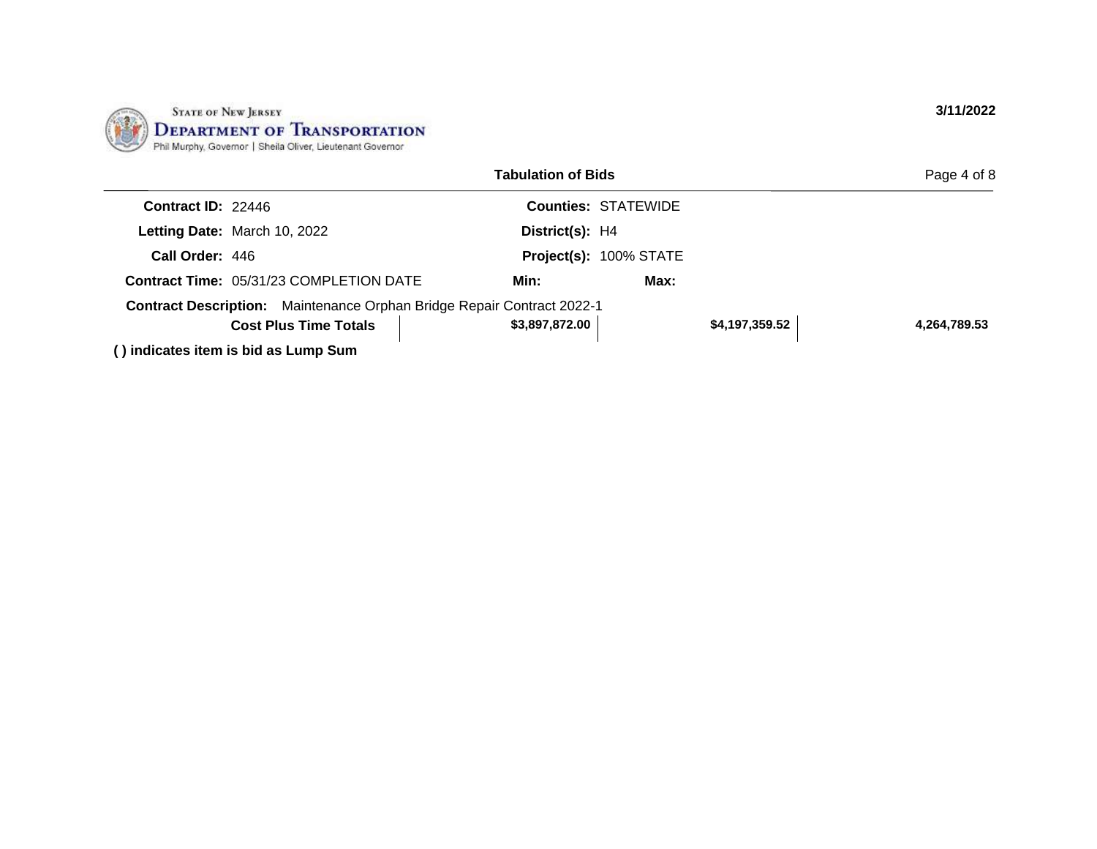

|                           |                                                                               | <b>Tabulation of Bids</b> |                            |                | Page 4 of 8  |
|---------------------------|-------------------------------------------------------------------------------|---------------------------|----------------------------|----------------|--------------|
| <b>Contract ID: 22446</b> |                                                                               |                           | <b>Counties: STATEWIDE</b> |                |              |
|                           | Letting Date: March 10, 2022                                                  | District(s): H4           |                            |                |              |
| Call Order: 446           |                                                                               |                           | Project(s): 100% STATE     |                |              |
|                           | <b>Contract Time: 05/31/23 COMPLETION DATE</b>                                | Min:                      | Max:                       |                |              |
|                           | <b>Contract Description:</b> Maintenance Orphan Bridge Repair Contract 2022-1 |                           |                            |                |              |
|                           | <b>Cost Plus Time Totals</b>                                                  | \$3,897,872.00            |                            | \$4,197,359.52 | 4,264,789.53 |
|                           | () indicates item is hid as Lumn Sum                                          |                           |                            |                |              |

**( ) indicates item is bid as Lump Sum**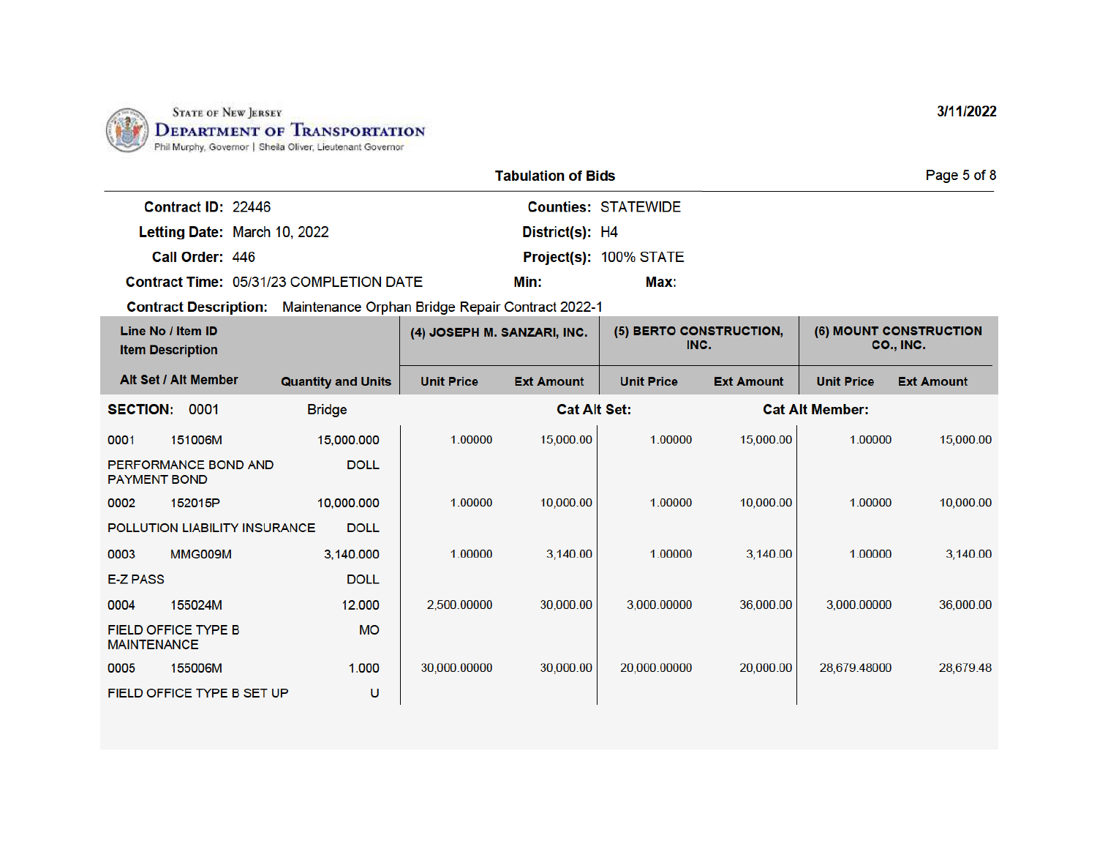

|                    |                                                | Page 5 of 8     |                               |  |
|--------------------|------------------------------------------------|-----------------|-------------------------------|--|
| Contract ID: 22446 |                                                |                 | <b>Counties: STATEWIDE</b>    |  |
|                    | Letting Date: March 10, 2022                   | District(s): H4 |                               |  |
| Call Order: 446    |                                                |                 | <b>Project(s): 100% STATE</b> |  |
|                    | <b>Contract Time: 05/31/23 COMPLETION DATE</b> | Min:            | Max:                          |  |

Contract Description: Maintenance Orphan Bridge Repair Contract 2022-1

| Line No / Item ID<br><b>Item Description</b> |                               | (4) JOSEPH M. SANZARI, INC. |                   | (5) BERTO CONSTRUCTION,<br>INC. |                   | (6) MOUNT CONSTRUCTION<br>CO., INC. |                        |                   |
|----------------------------------------------|-------------------------------|-----------------------------|-------------------|---------------------------------|-------------------|-------------------------------------|------------------------|-------------------|
|                                              | Alt Set / Alt Member          | <b>Quantity and Units</b>   | <b>Unit Price</b> | <b>Ext Amount</b>               | <b>Unit Price</b> | <b>Ext Amount</b>                   | <b>Unit Price</b>      | <b>Ext Amount</b> |
| <b>SECTION:</b>                              | 0001                          | <b>Bridge</b>               |                   | <b>Cat Alt Set:</b>             |                   |                                     | <b>Cat Alt Member:</b> |                   |
| 0001                                         | 151006M                       | 15,000.000                  | 1.00000           | 15,000.00                       | 1.00000           | 15,000.00                           | 1.00000                | 15,000.00         |
| <b>PAYMENT BOND</b>                          | PERFORMANCE BOND AND          | <b>DOLL</b>                 |                   |                                 |                   |                                     |                        |                   |
| 0002                                         | 152015P                       | 10,000,000                  | 1.00000           | 10,000.00                       | 1.00000           | 10,000.00                           | 1.00000                | 10,000.00         |
|                                              | POLLUTION LIABILITY INSURANCE | <b>DOLL</b>                 |                   |                                 |                   |                                     |                        |                   |
| 0003                                         | MMG009M                       | 3,140.000                   | 1.00000           | 3,140.00                        | 1.00000           | 3,140.00                            | 1.00000                | 3,140.00          |
| <b>E-Z PASS</b>                              |                               | <b>DOLL</b>                 |                   |                                 |                   |                                     |                        |                   |
| 0004                                         | 155024M                       | 12,000                      | 2,500.00000       | 30,000.00                       | 3,000.00000       | 36,000.00                           | 3.000.00000            | 36,000.00         |
| <b>MAINTENANCE</b>                           | <b>FIELD OFFICE TYPE B</b>    | <b>MO</b>                   |                   |                                 |                   |                                     |                        |                   |
| 0005                                         | 155006M                       | 1.000                       | 30,000.00000      | 30,000.00                       | 20,000.00000      | 20,000.00                           | 28,679.48000           | 28,679.48         |
|                                              | FIELD OFFICE TYPE B SET UP    | υ                           |                   |                                 |                   |                                     |                        |                   |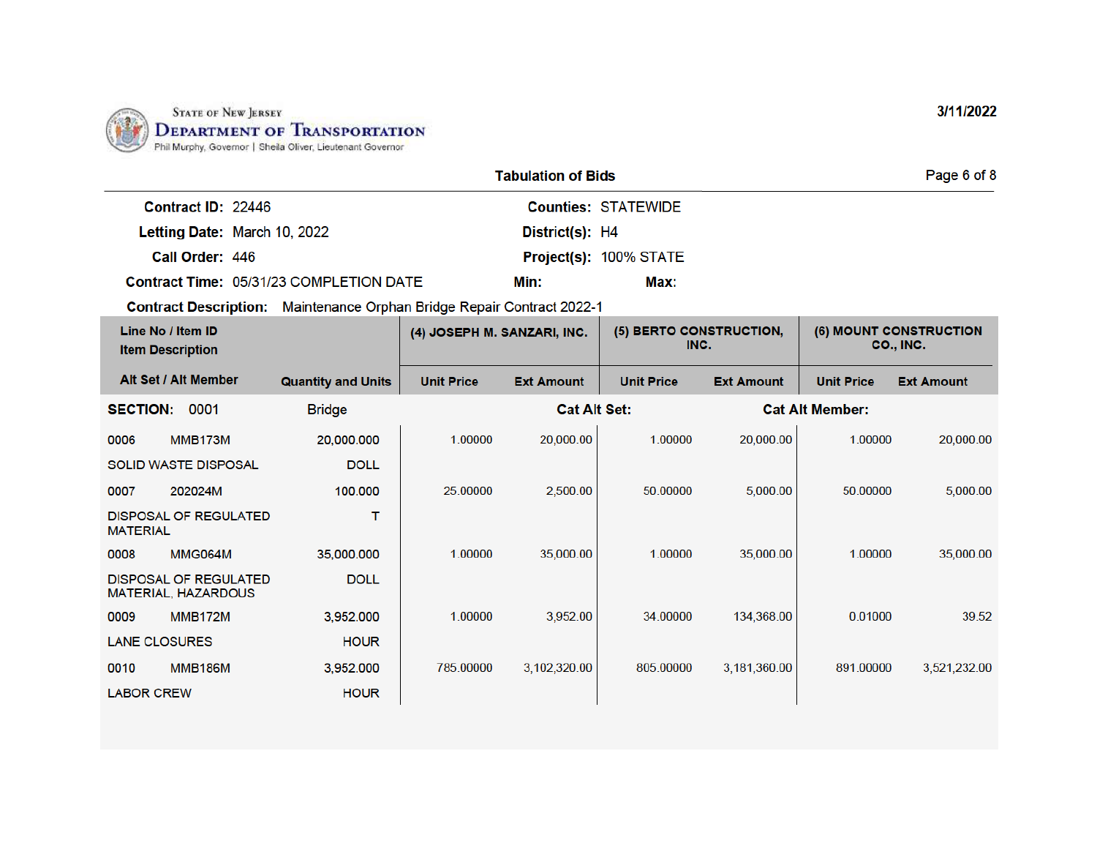

|                              |                                                | Page 6 of 8     |                               |  |
|------------------------------|------------------------------------------------|-----------------|-------------------------------|--|
| Contract ID: 22446           |                                                |                 | <b>Counties: STATEWIDE</b>    |  |
| Letting Date: March 10, 2022 |                                                | District(s): H4 |                               |  |
| <b>Call Order: 446</b>       |                                                |                 | <b>Project(s): 100% STATE</b> |  |
|                              | <b>Contract Time: 05/31/23 COMPLETION DATE</b> | Min:            | Max:                          |  |

Contract Description: Maintenance Orphan Bridge Repair Contract 2022-1

| Line No / Item ID<br><b>Item Description</b>        |  |               |                   | (5) BERTO CONSTRUCTION,<br>(4) JOSEPH M. SANZARI, INC.<br>INC. |                   | (6) MOUNT CONSTRUCTION<br>CO., INC. |                        |                   |
|-----------------------------------------------------|--|---------------|-------------------|----------------------------------------------------------------|-------------------|-------------------------------------|------------------------|-------------------|
| Alt Set / Alt Member<br><b>Quantity and Units</b>   |  |               | <b>Unit Price</b> | <b>Ext Amount</b>                                              | <b>Unit Price</b> | <b>Ext Amount</b>                   | <b>Unit Price</b>      | <b>Ext Amount</b> |
| 0001<br><b>SECTION:</b>                             |  | <b>Bridge</b> |                   | <b>Cat Alt Set:</b>                                            |                   |                                     | <b>Cat Alt Member:</b> |                   |
| 0006<br>MMB173M                                     |  | 20,000.000    | 1.00000           | 20,000.00                                                      | 1.00000           | 20,000.00                           | 1.00000                | 20,000.00         |
| <b>SOLID WASTE DISPOSAL</b>                         |  | <b>DOLL</b>   |                   |                                                                |                   |                                     |                        |                   |
| 0007<br>202024M                                     |  | 100,000       | 25.00000          | 2,500.00                                                       | 50.00000          | 5,000.00                            | 50.00000               | 5,000.00          |
| <b>DISPOSAL OF REGULATED</b><br><b>MATERIAL</b>     |  | т             |                   |                                                                |                   |                                     |                        |                   |
| 0008<br>MMG064M                                     |  | 35,000.000    | 1.00000           | 35,000.00                                                      | 1.00000           | 35,000.00                           | 1.00000                | 35,000.00         |
| <b>DISPOSAL OF REGULATED</b><br>MATERIAL, HAZARDOUS |  | <b>DOLL</b>   |                   |                                                                |                   |                                     |                        |                   |
| 0009<br><b>MMB172M</b>                              |  | 3,952,000     | 1.00000           | 3,952.00                                                       | 34,00000          | 134,368.00                          | 0.01000                | 39.52             |
| <b>LANE CLOSURES</b>                                |  | <b>HOUR</b>   |                   |                                                                |                   |                                     |                        |                   |
| <b>MMB186M</b><br>0010                              |  | 3,952.000     | 785,00000         | 3,102,320.00                                                   | 805.00000         | 3,181,360.00                        | 891.00000              | 3,521,232.00      |
| <b>LABOR CREW</b>                                   |  | <b>HOUR</b>   |                   |                                                                |                   |                                     |                        |                   |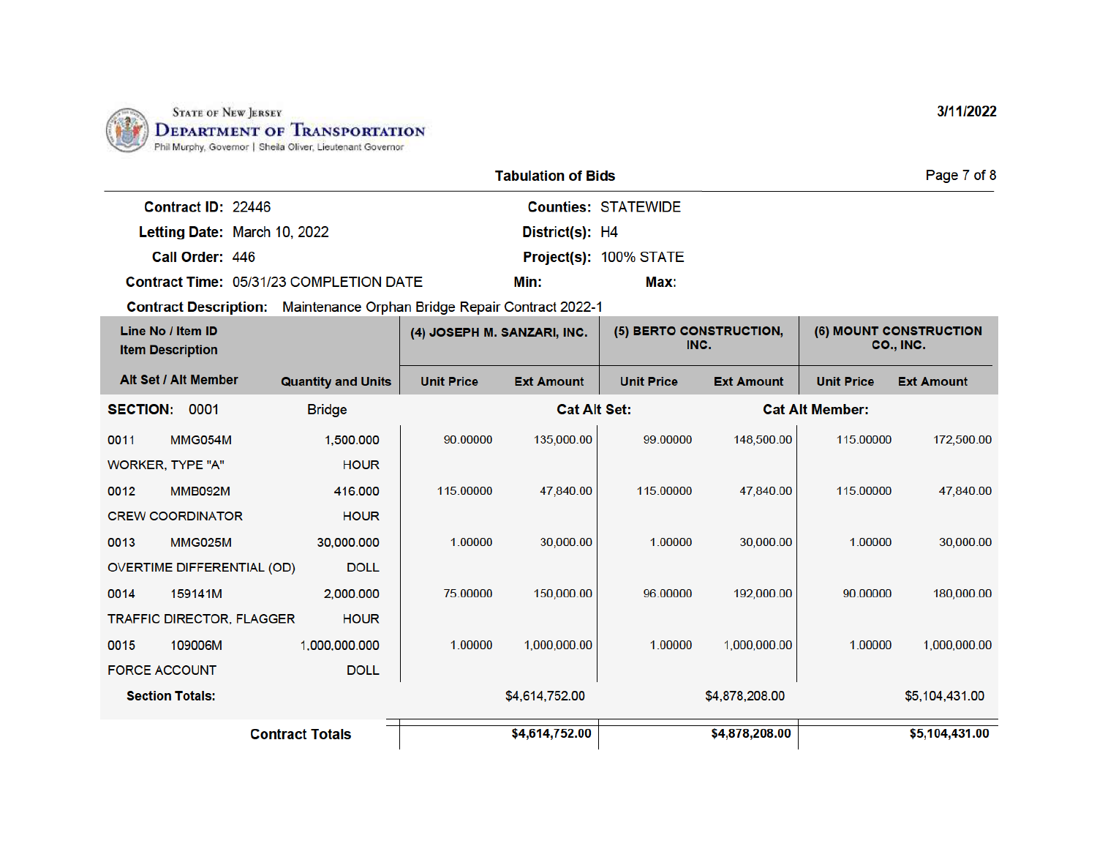

|                                                | <b>Tabulation of Bids</b> | Page 7 of 8     |                               |  |
|------------------------------------------------|---------------------------|-----------------|-------------------------------|--|
| Contract ID: 22446                             |                           |                 | <b>Counties: STATEWIDE</b>    |  |
| Letting Date: March 10, 2022                   |                           | District(s): H4 |                               |  |
| Call Order: 446                                |                           |                 | <b>Project(s): 100% STATE</b> |  |
| <b>Contract Time: 05/31/23 COMPLETION DATE</b> |                           | Min:            | Max:                          |  |

Contract Description: Maintenance Orphan Bridge Repair Contract 2022-1

| Line No / Item ID<br><b>Item Description</b> |                                   | (4) JOSEPH M. SANZARI, INC. |                   | (5) BERTO CONSTRUCTION,<br>INC. |                   | (6) MOUNT CONSTRUCTION<br>CO., INC. |                        |                   |
|----------------------------------------------|-----------------------------------|-----------------------------|-------------------|---------------------------------|-------------------|-------------------------------------|------------------------|-------------------|
|                                              | Alt Set / Alt Member              | <b>Quantity and Units</b>   | <b>Unit Price</b> | <b>Ext Amount</b>               | <b>Unit Price</b> | <b>Ext Amount</b>                   | <b>Unit Price</b>      | <b>Ext Amount</b> |
| <b>SECTION:</b>                              | 0001                              | <b>Bridge</b>               |                   | <b>Cat Alt Set:</b>             |                   |                                     | <b>Cat Alt Member:</b> |                   |
| 0011                                         | <b>MMG054M</b>                    | 1,500.000                   | 90.00000          | 135,000.00                      | 99.00000          | 148,500.00                          | 115,00000              | 172,500.00        |
| <b>WORKER, TYPE "A"</b>                      |                                   | <b>HOUR</b>                 |                   |                                 |                   |                                     |                        |                   |
| 0012                                         | <b>MMB092M</b>                    | 416.000                     | 115.00000         | 47,840.00                       | 115,00000         | 47,840.00                           | 115.00000              | 47,840.00         |
| <b>CREW COORDINATOR</b><br><b>HOUR</b>       |                                   |                             |                   |                                 |                   |                                     |                        |                   |
| 0013                                         | <b>MMG025M</b>                    | 30,000.000                  | 1.00000           | 30,000.00                       | 1.00000           | 30,000.00                           | 1.00000                | 30,000.00         |
|                                              | <b>OVERTIME DIFFERENTIAL (OD)</b> | <b>DOLL</b>                 |                   |                                 |                   |                                     |                        |                   |
| 0014                                         | 159141M                           | 2.000.000                   | 75.00000          | 150,000.00                      | 96.00000          | 192,000.00                          | 90.00000               | 180,000.00        |
|                                              | <b>TRAFFIC DIRECTOR, FLAGGER</b>  | <b>HOUR</b>                 |                   |                                 |                   |                                     |                        |                   |
| 0015                                         | 109006M                           | 1,000,000.000               | 1.00000           | 1,000,000.00                    | 1.00000           | 1.000.000.00                        | 1.00000                | 1.000.000.00      |
| <b>FORCE ACCOUNT</b>                         |                                   | <b>DOLL</b>                 |                   |                                 |                   |                                     |                        |                   |
| <b>Section Totals:</b>                       |                                   | \$4,614,752.00              |                   |                                 | \$4,878,208.00    |                                     | \$5,104,431.00         |                   |
|                                              |                                   | <b>Contract Totals</b>      |                   | \$4,614,752.00                  |                   | \$4,878,208.00                      |                        | \$5,104,431.00    |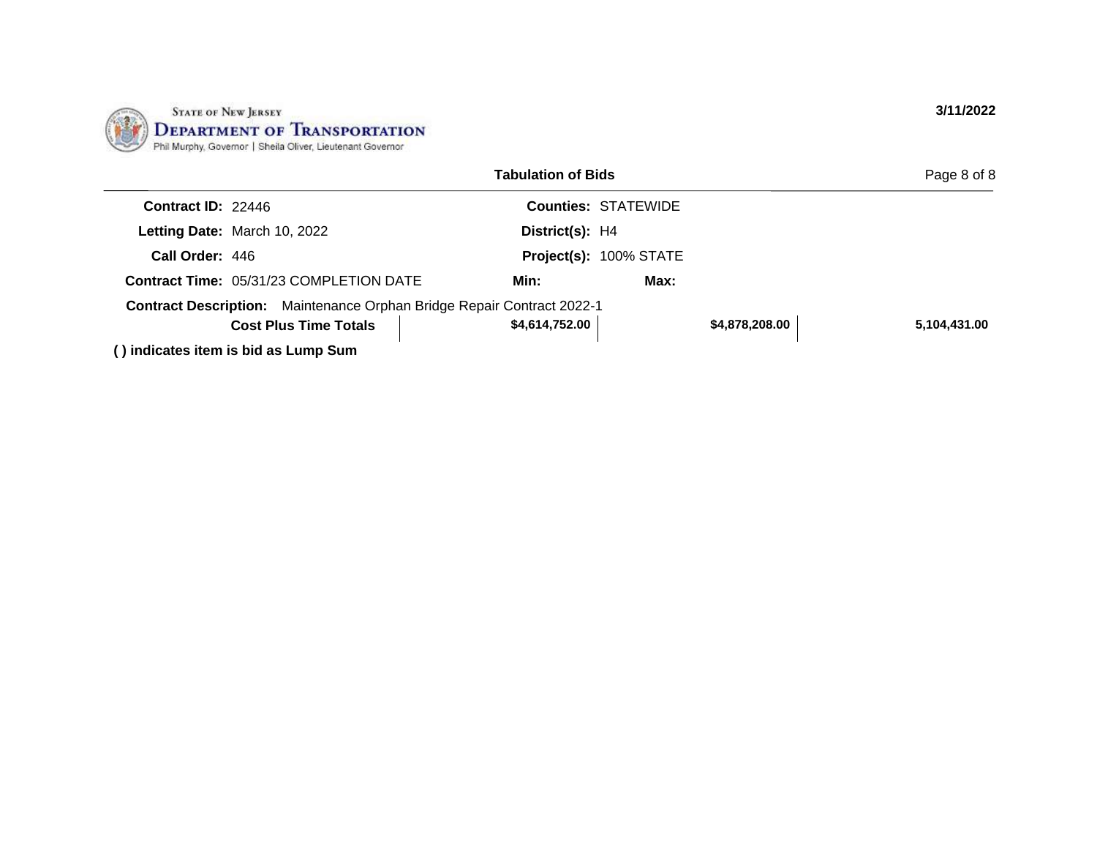

|                                                                        |  | <b>Tabulation of Bids</b> |                            |                | Page 8 of 8  |
|------------------------------------------------------------------------|--|---------------------------|----------------------------|----------------|--------------|
| <b>Contract ID: 22446</b>                                              |  |                           | <b>Counties: STATEWIDE</b> |                |              |
| Letting Date: March 10, 2022                                           |  | District(s): H4           |                            |                |              |
| Call Order: 446                                                        |  |                           | Project(s): 100% STATE     |                |              |
| <b>Contract Time: 05/31/23 COMPLETION DATE</b>                         |  | Min:                      | Max:                       |                |              |
| Contract Description: Maintenance Orphan Bridge Repair Contract 2022-1 |  |                           |                            |                |              |
| <b>Cost Plus Time Totals</b>                                           |  | \$4,614,752.00            |                            | \$4,878,208.00 | 5,104,431.00 |
| () indicates item is bid as Lump Sum                                   |  |                           |                            |                |              |